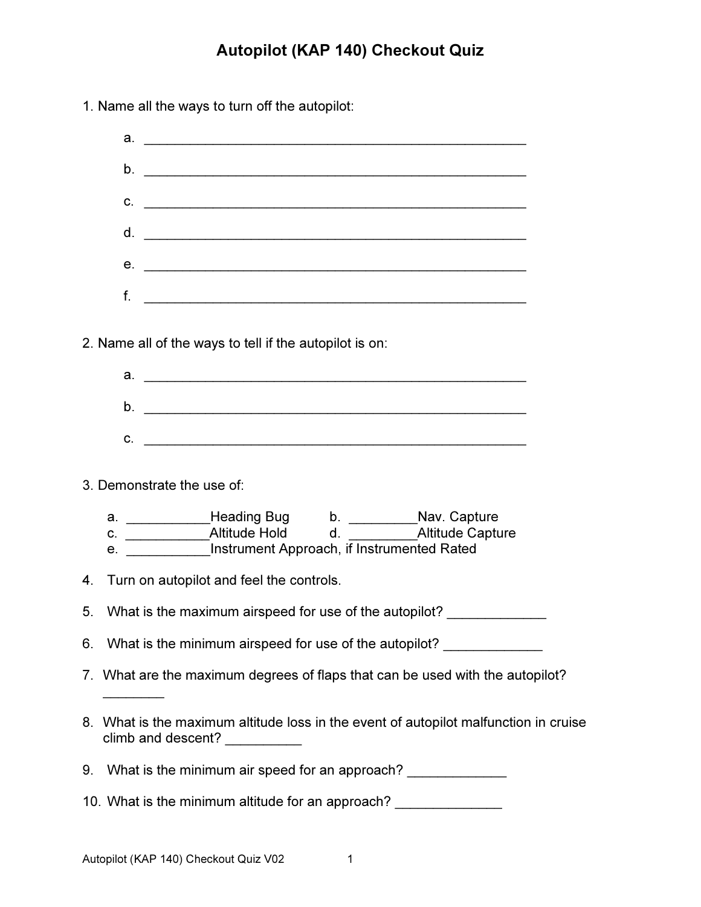## Autopilot (KAP 140) Checkout Quiz

1. Name all the ways to turn off the autopilot:

|                            | а.                                                                                                                       |  |
|----------------------------|--------------------------------------------------------------------------------------------------------------------------|--|
|                            | $\mathsf{b}$ . $\qquad \qquad$                                                                                           |  |
|                            | $C.$ $\qquad \qquad$                                                                                                     |  |
|                            |                                                                                                                          |  |
|                            |                                                                                                                          |  |
|                            | $f.$ $\qquad \qquad$                                                                                                     |  |
|                            | 2. Name all of the ways to tell if the autopilot is on:                                                                  |  |
|                            |                                                                                                                          |  |
|                            |                                                                                                                          |  |
| 3. Demonstrate the use of: |                                                                                                                          |  |
|                            | a. ________________Heading Bug b. _____________Nav. Capture<br>e. ____________Instrument Approach, if Instrumented Rated |  |
| 4.                         | Turn on autopilot and feel the controls.                                                                                 |  |
| 5.                         | What is the maximum airspeed for use of the autopilot?                                                                   |  |
| 6.                         | What is the minimum airspeed for use of the autopilot?                                                                   |  |
|                            | 7. What are the maximum degrees of flaps that can be used with the autopilot?                                            |  |
|                            | 8. What is the maximum altitude loss in the event of autopilot malfunction in cruise<br>climb and descent? __________    |  |
|                            | 9. What is the minimum air speed for an approach? ______________                                                         |  |
|                            | 10. What is the minimum altitude for an approach? _______________                                                        |  |